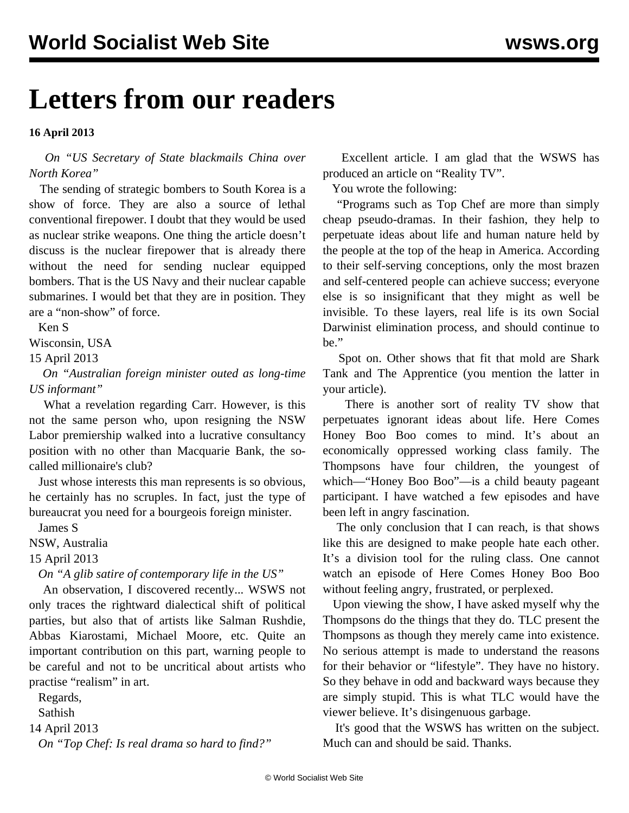## **Letters from our readers**

## **16 April 2013**

 *On ["US Secretary of State blackmails China over](/en/articles/2013/04/15/kore-a15.html) [North Korea](/en/articles/2013/04/15/kore-a15.html)"*

 The sending of strategic bombers to South Korea is a show of force. They are also a source of lethal conventional firepower. I doubt that they would be used as nuclear strike weapons. One thing the article doesn't discuss is the nuclear firepower that is already there without the need for sending nuclear equipped bombers. That is the US Navy and their nuclear capable submarines. I would bet that they are in position. They are a "non-show" of force.

Ken S

Wisconsin, USA

15 April 2013

 *On ["Australian foreign minister outed as long-time](/en/articles/2013/04/15/carr-a15.html) [US informant](/en/articles/2013/04/15/carr-a15.html)"*

 What a revelation regarding Carr. However, is this not the same person who, upon resigning the NSW Labor premiership walked into a lucrative consultancy position with no other than Macquarie Bank, the socalled millionaire's club?

 Just whose interests this man represents is so obvious, he certainly has no scruples. In fact, just the type of bureaucrat you need for a bourgeois foreign minister.

James S

NSW, Australia

15 April 2013

*On "[A glib satire of contemporary life in the US"](/en/articles/2003/09/rush-s12.html)*

 An observation, I discovered recently... WSWS not only traces the rightward dialectical shift of political parties, but also that of artists like Salman Rushdie, Abbas Kiarostami, Michael Moore, etc. Quite an important contribution on this part, warning people to be careful and not to be uncritical about artists who practise "realism" in art.

 Regards, Sathish

14 April 2013

*On "[Top Chef: Is real drama so hard to find?"](/en/articles/2010/11/chef-n05.html)*

 Excellent article. I am glad that the WSWS has produced an article on "Reality TV".

You wrote the following:

 "Programs such as Top Chef are more than simply cheap pseudo-dramas. In their fashion, they help to perpetuate ideas about life and human nature held by the people at the top of the heap in America. According to their self-serving conceptions, only the most brazen and self-centered people can achieve success; everyone else is so insignificant that they might as well be invisible. To these layers, real life is its own Social Darwinist elimination process, and should continue to be."

 Spot on. Other shows that fit that mold are Shark Tank and The Apprentice (you mention the latter in your article).

 There is another sort of reality TV show that perpetuates ignorant ideas about life. Here Comes Honey Boo Boo comes to mind. It's about an economically oppressed working class family. The Thompsons have four children, the youngest of which—"Honey Boo Boo"—is a child beauty pageant participant. I have watched a few episodes and have been left in angry fascination.

 The only conclusion that I can reach, is that shows like this are designed to make people hate each other. It's a division tool for the ruling class. One cannot watch an episode of Here Comes Honey Boo Boo without feeling angry, frustrated, or perplexed.

 Upon viewing the show, I have asked myself why the Thompsons do the things that they do. TLC present the Thompsons as though they merely came into existence. No serious attempt is made to understand the reasons for their behavior or "lifestyle". They have no history. So they behave in odd and backward ways because they are simply stupid. This is what TLC would have the viewer believe. It's disingenuous garbage.

 It's good that the WSWS has written on the subject. Much can and should be said. Thanks.